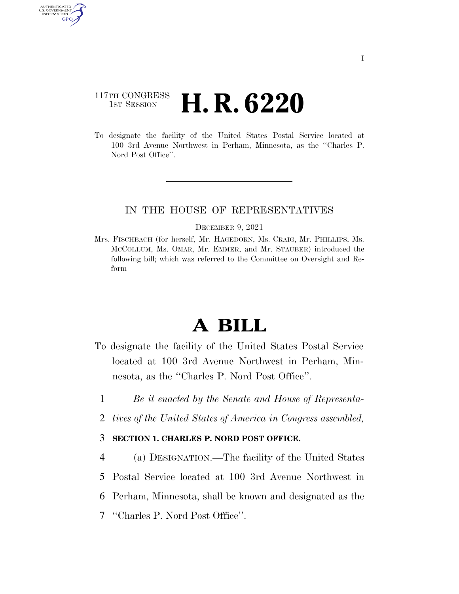# 117TH CONGRESS **1st Session H. R. 6220**

AUTHENTICATED U.S. GOVERNMENT GPO

> To designate the facility of the United States Postal Service located at 100 3rd Avenue Northwest in Perham, Minnesota, as the ''Charles P. Nord Post Office".

## IN THE HOUSE OF REPRESENTATIVES

#### DECEMBER 9, 2021

Mrs. FISCHBACH (for herself, Mr. HAGEDORN, Ms. CRAIG, Mr. PHILLIPS, Ms. MCCOLLUM, Ms. OMAR, Mr. EMMER, and Mr. STAUBER) introduced the following bill; which was referred to the Committee on Oversight and Reform

# **A BILL**

- To designate the facility of the United States Postal Service located at 100 3rd Avenue Northwest in Perham, Minnesota, as the ''Charles P. Nord Post Office''.
	- 1 *Be it enacted by the Senate and House of Representa-*
	- 2 *tives of the United States of America in Congress assembled,*

### 3 **SECTION 1. CHARLES P. NORD POST OFFICE.**

 (a) DESIGNATION.—The facility of the United States Postal Service located at 100 3rd Avenue Northwest in Perham, Minnesota, shall be known and designated as the ''Charles P. Nord Post Office''.